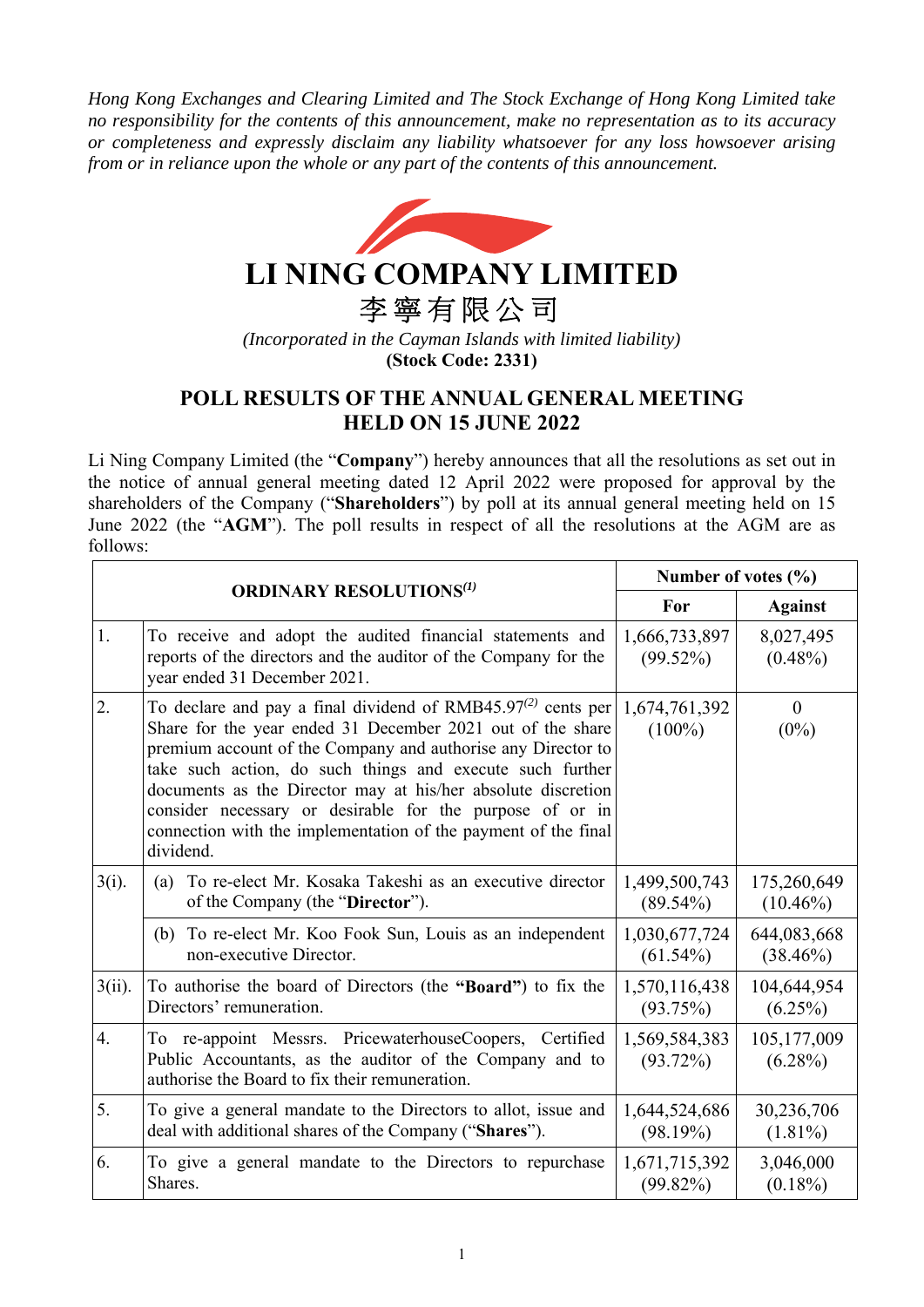*Hong Kong Exchanges and Clearing Limited and The Stock Exchange of Hong Kong Limited take no responsibility for the contents of this announcement, make no representation as to its accuracy or completeness and expressly disclaim any liability whatsoever for any loss howsoever arising from or in reliance upon the whole or any part of the contents of this announcement.* 



## **POLL RESULTS OF THE ANNUAL GENERAL MEETING HELD ON 15 JUNE 2022**

Li Ning Company Limited (the "**Company**") hereby announces that all the resolutions as set out in the notice of annual general meeting dated 12 April 2022 were proposed for approval by the shareholders of the Company ("**Shareholders**") by poll at its annual general meeting held on 15 June 2022 (the "**AGM**"). The poll results in respect of all the resolutions at the AGM are as follows:

| <b>ORDINARY RESOLUTIONS(1)</b> |                                                                                                                                                                                                                                                                                                                                                                                                                                                                       | Number of votes (%)          |                            |
|--------------------------------|-----------------------------------------------------------------------------------------------------------------------------------------------------------------------------------------------------------------------------------------------------------------------------------------------------------------------------------------------------------------------------------------------------------------------------------------------------------------------|------------------------------|----------------------------|
|                                |                                                                                                                                                                                                                                                                                                                                                                                                                                                                       | For                          | <b>Against</b>             |
| 1.                             | To receive and adopt the audited financial statements and<br>reports of the directors and the auditor of the Company for the<br>year ended 31 December 2021.                                                                                                                                                                                                                                                                                                          | 1,666,733,897<br>$(99.52\%)$ | 8,027,495<br>$(0.48\%)$    |
| 2.                             | To declare and pay a final dividend of RMB45.97 $(2)$ cents per<br>Share for the year ended 31 December 2021 out of the share<br>premium account of the Company and authorise any Director to<br>take such action, do such things and execute such further<br>documents as the Director may at his/her absolute discretion<br>consider necessary or desirable for the purpose of or in<br>connection with the implementation of the payment of the final<br>dividend. | 1,674,761,392<br>$(100\%)$   | $\mathbf{0}$<br>$(0\%)$    |
| $3(i)$ .                       | To re-elect Mr. Kosaka Takeshi as an executive director<br>(a)<br>of the Company (the "Director").                                                                                                                                                                                                                                                                                                                                                                    | 1,499,500,743<br>$(89.54\%)$ | 175,260,649<br>$(10.46\%)$ |
|                                | To re-elect Mr. Koo Fook Sun, Louis as an independent<br>(b)<br>non-executive Director.                                                                                                                                                                                                                                                                                                                                                                               | 1,030,677,724<br>$(61.54\%)$ | 644,083,668<br>$(38.46\%)$ |
| $3(ii)$ .                      | To authorise the board of Directors (the "Board") to fix the<br>Directors' remuneration.                                                                                                                                                                                                                                                                                                                                                                              | 1,570,116,438<br>(93.75%)    | 104,644,954<br>$(6.25\%)$  |
| $\overline{4}$ .               | To re-appoint Messrs. PricewaterhouseCoopers, Certified<br>Public Accountants, as the auditor of the Company and to<br>authorise the Board to fix their remuneration.                                                                                                                                                                                                                                                                                                 | 1,569,584,383<br>$(93.72\%)$ | 105,177,009<br>$(6.28\%)$  |
| 5.                             | To give a general mandate to the Directors to allot, issue and<br>deal with additional shares of the Company ("Shares").                                                                                                                                                                                                                                                                                                                                              | 1,644,524,686<br>(98.19%)    | 30,236,706<br>$(1.81\%)$   |
| 6.                             | To give a general mandate to the Directors to repurchase<br>Shares.                                                                                                                                                                                                                                                                                                                                                                                                   | 1,671,715,392<br>$(99.82\%)$ | 3,046,000<br>$(0.18\%)$    |